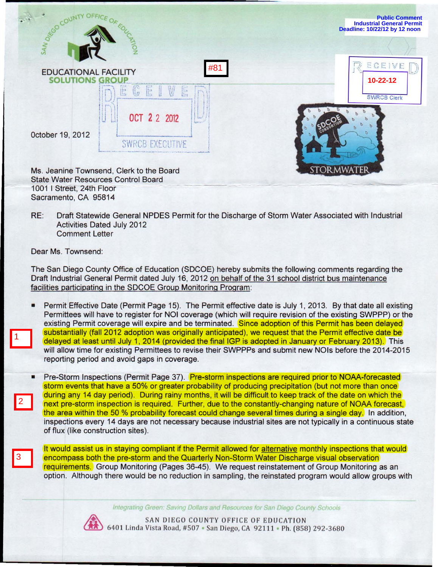|                                                                                        | <b>Public Comment</b><br><b>Industrial General Permit</b><br>Deadline: 10/22/12 by 12 noon |
|----------------------------------------------------------------------------------------|--------------------------------------------------------------------------------------------|
| SAN DREGO CO                                                                           |                                                                                            |
| #81<br><b>EDUCATIONAL FACILITY</b><br><b>SOLUTIONS</b><br>GR                           | ECE1<br>$\mathcal{N}$<br>$10 - 22 - 12$                                                    |
| $\mathbb{G}$<br>E<br>E<br>E<br>OCT 2 2 2012                                            | <b>SWRCB Clerk</b>                                                                         |
| October 19, 2012<br>SWRER<br>WF.                                                       |                                                                                            |
| Ms. Jeanine Townsend, Clerk to the Board<br><b>State Water Resources Control Board</b> |                                                                                            |

RE: Draft Statewide General NPDES Permit for the Discharge of Storm Water Associated with Industrial Activities Dated July 2012 Comment Letter

Dear Ms. Townsend:

1

2

3

1001 I Street; 24th Floor Sacramento, CA 95814

The San Diego County Office of Education (SDCOE) hereby submits the following comments regarding the Draft Industrial General Permit dated July 16, 2012 on behalf of the 31 school district bus maintenance facilities participating in the SDCOE Group Monitoring Program:

• Permit Effective Date (Permit Page 15). The Permit effective date is July 1, 2013. By that date all existing Permittees will have to register for NOI coverage (which will require revision of the existing SWPPP) or the existing Permit coverage will expire and be terminated. Since adoption of this Permit has been delayed substantially (fall 2012 adoption was originally anticipated), we request that the Permit effective date be delayed at least until July 1, 2014 (provided the final IGP is adopted in January or February 2013). This will allow time for existing Permittees to revise their SWPPPs and submit new NOls before the 2014-2015 reporting period and avoid gaps in coverage.

**• Pre-Storm Inspections (Permit Page 37). Pre-storm inspections are required prior to NOAA-forecasted** storm events that have a 50% or greater probability of producing precipitation (but not more than once during any 14 day period). During rainy months, it will be difficult to keep track of the date on which the next pre-storm inspection is required. Further, due to the constantly-changing nature of NOAA forecast, the area within the 50 % probability forecast could change several times during a single day. In addition, inspections every 14 days are not necessary because industrial sites are not typically in a continuous state of flux (like construction sites).

It would assist us in staying compliant if the Permit allowed for alternative monthly inspections that would encompass both the pre-storm and the Quarterly Non-Storm Water Discharge visual observation requirements. Group Monitoring (Pages 36-45). We request reinstatement of Group Monitoring as an option. Although there would be no reduction in sampling, the reinstated program would allow groups with

**Integrating Green: Saving Dollars and Resources for San Diego County Schools** 



SAN DIEGO COUNTY OFFICE OF EDUCATION<br>6401 Linda Vista Road, #507 • San Diego, CA 92111 • Ph. (858) 292-3680